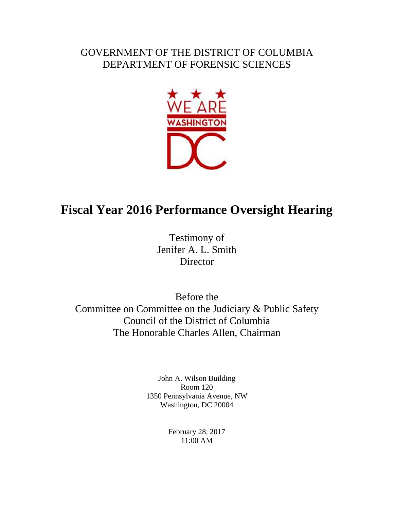## GOVERNMENT OF THE DISTRICT OF COLUMBIA DEPARTMENT OF FORENSIC SCIENCES



## **Fiscal Year 2016 Performance Oversight Hearing**

Testimony of Jenifer A. L. Smith **Director** 

Before the Committee on Committee on the Judiciary & Public Safety Council of the District of Columbia The Honorable Charles Allen, Chairman

> John A. Wilson Building Room 120 1350 Pennsylvania Avenue, NW Washington, DC 20004

> > February 28, 2017 11:00 AM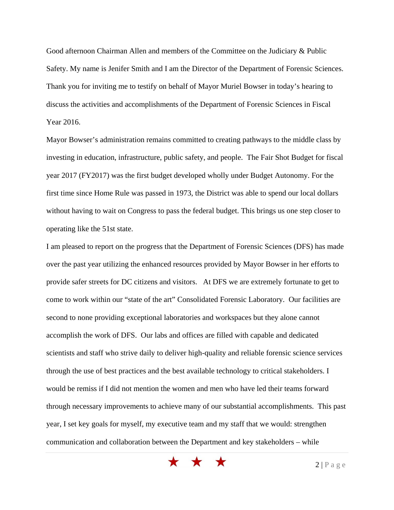Good afternoon Chairman Allen and members of the Committee on the Judiciary & Public Safety. My name is Jenifer Smith and I am the Director of the Department of Forensic Sciences. Thank you for inviting me to testify on behalf of Mayor Muriel Bowser in today's hearing to discuss the activities and accomplishments of the Department of Forensic Sciences in Fiscal Year 2016.

Mayor Bowser's administration remains committed to creating pathways to the middle class by investing in education, infrastructure, public safety, and people. The Fair Shot Budget for fiscal year 2017 (FY2017) was the first budget developed wholly under Budget Autonomy. For the first time since Home Rule was passed in 1973, the District was able to spend our local dollars without having to wait on Congress to pass the federal budget. This brings us one step closer to operating like the 51st state.

I am pleased to report on the progress that the Department of Forensic Sciences (DFS) has made over the past year utilizing the enhanced resources provided by Mayor Bowser in her efforts to provide safer streets for DC citizens and visitors. At DFS we are extremely fortunate to get to come to work within our "state of the art" Consolidated Forensic Laboratory. Our facilities are second to none providing exceptional laboratories and workspaces but they alone cannot accomplish the work of DFS. Our labs and offices are filled with capable and dedicated scientists and staff who strive daily to deliver high-quality and reliable forensic science services through the use of best practices and the best available technology to critical stakeholders. I would be remiss if I did not mention the women and men who have led their teams forward through necessary improvements to achieve many of our substantial accomplishments. This past year, I set key goals for myself, my executive team and my staff that we would: strengthen communication and collaboration between the Department and key stakeholders – while

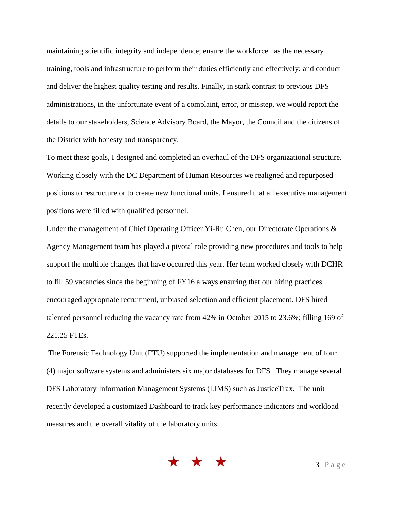maintaining scientific integrity and independence; ensure the workforce has the necessary training, tools and infrastructure to perform their duties efficiently and effectively; and conduct and deliver the highest quality testing and results. Finally, in stark contrast to previous DFS administrations, in the unfortunate event of a complaint, error, or misstep, we would report the details to our stakeholders, Science Advisory Board, the Mayor, the Council and the citizens of the District with honesty and transparency.

To meet these goals, I designed and completed an overhaul of the DFS organizational structure. Working closely with the DC Department of Human Resources we realigned and repurposed positions to restructure or to create new functional units. I ensured that all executive management positions were filled with qualified personnel.

Under the management of Chief Operating Officer Yi-Ru Chen, our Directorate Operations & Agency Management team has played a pivotal role providing new procedures and tools to help support the multiple changes that have occurred this year. Her team worked closely with DCHR to fill 59 vacancies since the beginning of FY16 always ensuring that our hiring practices encouraged appropriate recruitment, unbiased selection and efficient placement. DFS hired talented personnel reducing the vacancy rate from 42% in October 2015 to 23.6%; filling 169 of 221.25 FTEs.

 The Forensic Technology Unit (FTU) supported the implementation and management of four (4) major software systems and administers six major databases for DFS. They manage several DFS Laboratory Information Management Systems (LIMS) such as JusticeTrax. The unit recently developed a customized Dashboard to track key performance indicators and workload measures and the overall vitality of the laboratory units.

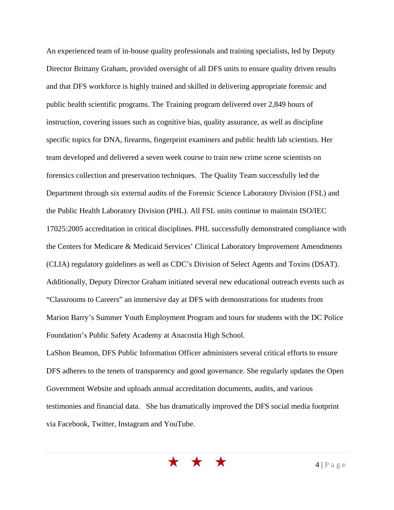An experienced team of in-house quality professionals and training specialists, led by Deputy Director Brittany Graham, provided oversight of all DFS units to ensure quality driven results and that DFS workforce is highly trained and skilled in delivering appropriate forensic and public health scientific programs. The Training program delivered over 2,849 hours of instruction, covering issues such as cognitive bias, quality assurance, as well as discipline specific topics for DNA, firearms, fingerprint examiners and public health lab scientists. Her team developed and delivered a seven week course to train new crime scene scientists on forensics collection and preservation techniques. The Quality Team successfully led the Department through six external audits of the Forensic Science Laboratory Division (FSL) and the Public Health Laboratory Division (PHL). All FSL units continue to maintain ISO/IEC 17025:2005 accreditation in critical disciplines. PHL successfully demonstrated compliance with the Centers for Medicare & Medicaid Services' Clinical Laboratory Improvement Amendments (CLIA) regulatory guidelines as well as CDC's Division of Select Agents and Toxins (DSAT). Additionally, Deputy Director Graham initiated several new educational outreach events such as "Classrooms to Careers" an immersive day at DFS with demonstrations for students from Marion Barry's Summer Youth Employment Program and tours for students with the DC Police Foundation's Public Safety Academy at Anacostia High School.

LaShon Beamon, DFS Public Information Officer administers several critical efforts to ensure DFS adheres to the tenets of transparency and good governance. She regularly updates the Open Government Website and uploads annual accreditation documents, audits, and various testimonies and financial data. She has dramatically improved the DFS social media footprint via Facebook, Twitter, Instagram and YouTube.

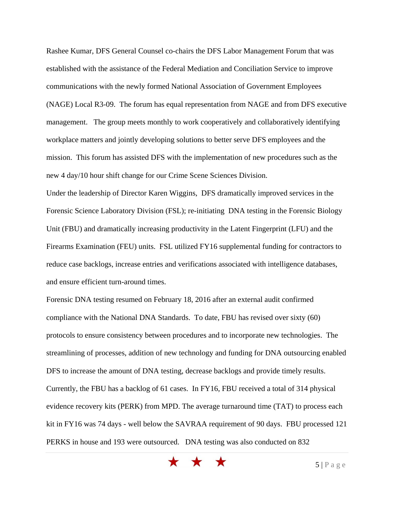Rashee Kumar, DFS General Counsel co-chairs the DFS Labor Management Forum that was established with the assistance of the Federal Mediation and Conciliation Service to improve communications with the newly formed National Association of Government Employees (NAGE) Local R3-09. The forum has equal representation from NAGE and from DFS executive management. The group meets monthly to work cooperatively and collaboratively identifying workplace matters and jointly developing solutions to better serve DFS employees and the mission. This forum has assisted DFS with the implementation of new procedures such as the new 4 day/10 hour shift change for our Crime Scene Sciences Division.

Under the leadership of Director Karen Wiggins, DFS dramatically improved services in the Forensic Science Laboratory Division (FSL); re-initiating DNA testing in the Forensic Biology Unit (FBU) and dramatically increasing productivity in the Latent Fingerprint (LFU) and the Firearms Examination (FEU) units. FSL utilized FY16 supplemental funding for contractors to reduce case backlogs, increase entries and verifications associated with intelligence databases, and ensure efficient turn-around times.

Forensic DNA testing resumed on February 18, 2016 after an external audit confirmed compliance with the National DNA Standards. To date, FBU has revised over sixty (60) protocols to ensure consistency between procedures and to incorporate new technologies. The streamlining of processes, addition of new technology and funding for DNA outsourcing enabled DFS to increase the amount of DNA testing, decrease backlogs and provide timely results. Currently, the FBU has a backlog of 61 cases. In FY16, FBU received a total of 314 physical evidence recovery kits (PERK) from MPD. The average turnaround time (TAT) to process each kit in FY16 was 74 days - well below the SAVRAA requirement of 90 days. FBU processed 121 PERKS in house and 193 were outsourced. DNA testing was also conducted on 832

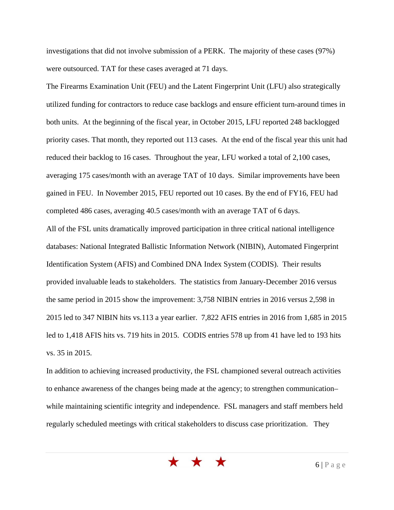investigations that did not involve submission of a PERK. The majority of these cases (97%) were outsourced. TAT for these cases averaged at 71 days.

The Firearms Examination Unit (FEU) and the Latent Fingerprint Unit (LFU) also strategically utilized funding for contractors to reduce case backlogs and ensure efficient turn-around times in both units. At the beginning of the fiscal year, in October 2015, LFU reported 248 backlogged priority cases. That month, they reported out 113 cases. At the end of the fiscal year this unit had reduced their backlog to 16 cases. Throughout the year, LFU worked a total of 2,100 cases, averaging 175 cases/month with an average TAT of 10 days. Similar improvements have been gained in FEU. In November 2015, FEU reported out 10 cases. By the end of FY16, FEU had completed 486 cases, averaging 40.5 cases/month with an average TAT of 6 days.

All of the FSL units dramatically improved participation in three critical national intelligence databases: National Integrated Ballistic Information Network (NIBIN), Automated Fingerprint Identification System (AFIS) and Combined DNA Index System (CODIS). Their results provided invaluable leads to stakeholders. The statistics from January-December 2016 versus the same period in 2015 show the improvement: 3,758 NIBIN entries in 2016 versus 2,598 in 2015 led to 347 NIBIN hits vs.113 a year earlier. 7,822 AFIS entries in 2016 from 1,685 in 2015 led to 1,418 AFIS hits vs. 719 hits in 2015. CODIS entries 578 up from 41 have led to 193 hits vs. 35 in 2015.

In addition to achieving increased productivity, the FSL championed several outreach activities to enhance awareness of the changes being made at the agency; to strengthen communication– while maintaining scientific integrity and independence. FSL managers and staff members held regularly scheduled meetings with critical stakeholders to discuss case prioritization. They

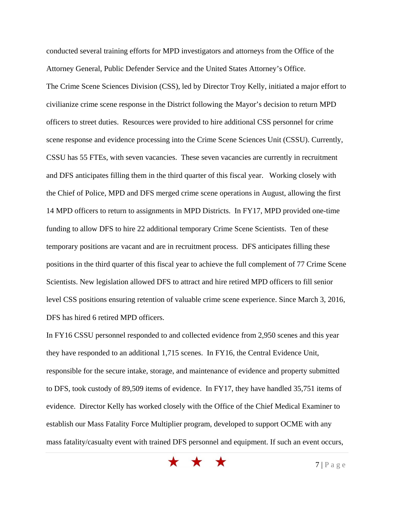conducted several training efforts for MPD investigators and attorneys from the Office of the Attorney General, Public Defender Service and the United States Attorney's Office. The Crime Scene Sciences Division (CSS), led by Director Troy Kelly, initiated a major effort to civilianize crime scene response in the District following the Mayor's decision to return MPD officers to street duties. Resources were provided to hire additional CSS personnel for crime scene response and evidence processing into the Crime Scene Sciences Unit (CSSU). Currently, CSSU has 55 FTEs, with seven vacancies. These seven vacancies are currently in recruitment and DFS anticipates filling them in the third quarter of this fiscal year. Working closely with the Chief of Police, MPD and DFS merged crime scene operations in August, allowing the first 14 MPD officers to return to assignments in MPD Districts. In FY17, MPD provided one-time funding to allow DFS to hire 22 additional temporary Crime Scene Scientists. Ten of these temporary positions are vacant and are in recruitment process. DFS anticipates filling these positions in the third quarter of this fiscal year to achieve the full complement of 77 Crime Scene Scientists. New legislation allowed DFS to attract and hire retired MPD officers to fill senior level CSS positions ensuring retention of valuable crime scene experience. Since March 3, 2016, DFS has hired 6 retired MPD officers.

In FY16 CSSU personnel responded to and collected evidence from 2,950 scenes and this year they have responded to an additional 1,715 scenes. In FY16, the Central Evidence Unit, responsible for the secure intake, storage, and maintenance of evidence and property submitted to DFS, took custody of 89,509 items of evidence. In FY17, they have handled 35,751 items of evidence. Director Kelly has worked closely with the Office of the Chief Medical Examiner to establish our Mass Fatality Force Multiplier program, developed to support OCME with any mass fatality/casualty event with trained DFS personnel and equipment. If such an event occurs,

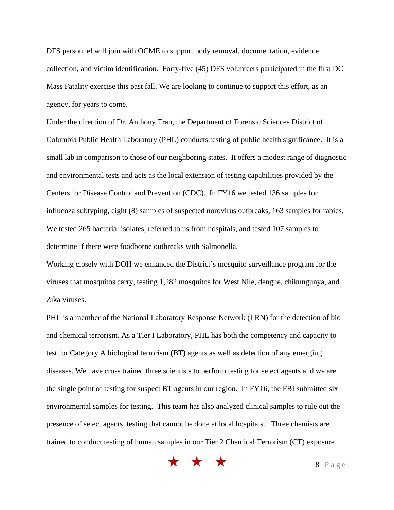DFS personnel will join with OCME to support body removal, documentation, evidence collection, and victim identification. Forty-five (45) DFS volunteers participated in the first DC Mass Fatality exercise this past fall. We are looking to continue to support this effort, as an agency, for years to come.

Under the direction of Dr. Anthony Tran, the Department of Forensic Sciences District of Columbia Public Health Laboratory (PHL) conducts testing of public health significance. It is a small lab in comparison to those of our neighboring states. It offers a modest range of diagnostic and environmental tests and acts as the local extension of testing capabilities provided by the Centers for Disease Control and Prevention (CDC). In FY16 we tested 136 samples for influenza subtyping, eight (8) samples of suspected norovirus outbreaks, 163 samples for rabies. We tested 265 bacterial isolates, referred to us from hospitals, and tested 107 samples to determine if there were foodborne outbreaks with Salmonella.

Working closely with DOH we enhanced the District's mosquito surveillance program for the viruses that mosquitos carry, testing 1,282 mosquitos for West Nile, dengue, chikungunya, and Zika viruses.

PHL is a member of the National Laboratory Response Network (LRN) for the detection of bio and chemical terrorism. As a Tier I Laboratory, PHL has both the competency and capacity to test for Category A biological terrorism (BT) agents as well as detection of any emerging diseases. We have cross trained three scientists to perform testing for select agents and we are the single point of testing for suspect BT agents in our region. In FY16, the FBI submitted six environmental samples for testing. This team has also analyzed clinical samples to rule out the presence of select agents, testing that cannot be done at local hospitals. Three chemists are trained to conduct testing of human samples in our Tier 2 Chemical Terrorism (CT) exposure

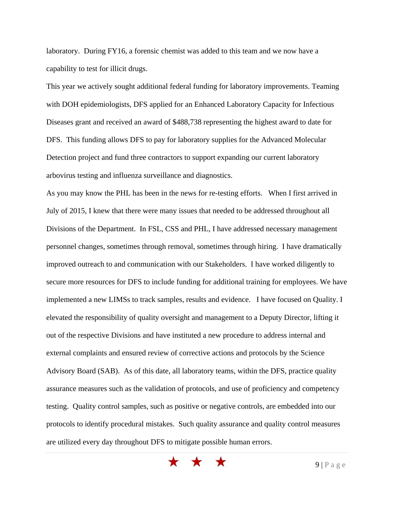laboratory. During FY16, a forensic chemist was added to this team and we now have a capability to test for illicit drugs.

This year we actively sought additional federal funding for laboratory improvements. Teaming with DOH epidemiologists, DFS applied for an Enhanced Laboratory Capacity for Infectious Diseases grant and received an award of \$488,738 representing the highest award to date for DFS. This funding allows DFS to pay for laboratory supplies for the Advanced Molecular Detection project and fund three contractors to support expanding our current laboratory arbovirus testing and influenza surveillance and diagnostics.

As you may know the PHL has been in the news for re-testing efforts. When I first arrived in July of 2015, I knew that there were many issues that needed to be addressed throughout all Divisions of the Department. In FSL, CSS and PHL, I have addressed necessary management personnel changes, sometimes through removal, sometimes through hiring. I have dramatically improved outreach to and communication with our Stakeholders. I have worked diligently to secure more resources for DFS to include funding for additional training for employees. We have implemented a new LIMSs to track samples, results and evidence. I have focused on Quality. I elevated the responsibility of quality oversight and management to a Deputy Director, lifting it out of the respective Divisions and have instituted a new procedure to address internal and external complaints and ensured review of corrective actions and protocols by the Science Advisory Board (SAB). As of this date, all laboratory teams, within the DFS, practice quality assurance measures such as the validation of protocols, and use of proficiency and competency testing. Quality control samples, such as positive or negative controls, are embedded into our protocols to identify procedural mistakes. Such quality assurance and quality control measures are utilized every day throughout DFS to mitigate possible human errors.

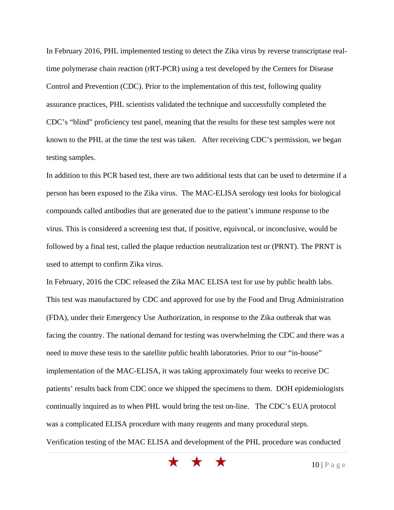In February 2016, PHL implemented testing to detect the Zika virus by reverse transcriptase realtime polymerase chain reaction (rRT-PCR) using a test developed by the Centers for Disease Control and Prevention (CDC). Prior to the implementation of this test, following quality assurance practices, PHL scientists validated the technique and successfully completed the CDC's "blind" proficiency test panel, meaning that the results for these test samples were not known to the PHL at the time the test was taken. After receiving CDC's permission, we began testing samples.

In addition to this PCR based test, there are two additional tests that can be used to determine if a person has been exposed to the Zika virus. The MAC-ELISA serology test looks for biological compounds called antibodies that are generated due to the patient's immune response to the virus. This is considered a screening test that, if positive, equivocal, or inconclusive, would be followed by a final test, called the plaque reduction neutralization test or (PRNT). The PRNT is used to attempt to confirm Zika virus.

In February, 2016 the CDC released the Zika MAC ELISA test for use by public health labs. This test was manufactured by CDC and approved for use by the Food and Drug Administration (FDA), under their Emergency Use Authorization, in response to the Zika outbreak that was facing the country. The national demand for testing was overwhelming the CDC and there was a need to move these tests to the satellite public health laboratories. Prior to our "in-house" implementation of the MAC-ELISA, it was taking approximately four weeks to receive DC patients' results back from CDC once we shipped the specimens to them. DOH epidemiologists continually inquired as to when PHL would bring the test on-line. The CDC's EUA protocol was a complicated ELISA procedure with many reagents and many procedural steps. Verification testing of the MAC ELISA and development of the PHL procedure was conducted

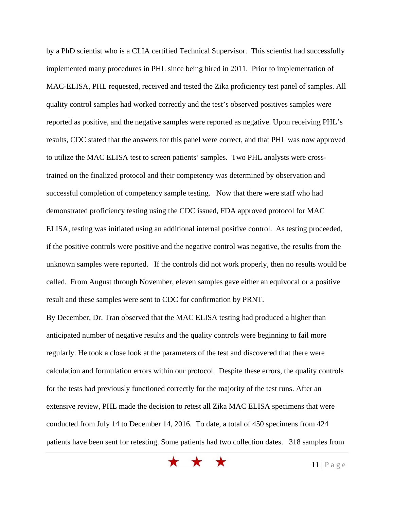by a PhD scientist who is a CLIA certified Technical Supervisor. This scientist had successfully implemented many procedures in PHL since being hired in 2011. Prior to implementation of MAC-ELISA, PHL requested, received and tested the Zika proficiency test panel of samples. All quality control samples had worked correctly and the test's observed positives samples were reported as positive, and the negative samples were reported as negative. Upon receiving PHL's results, CDC stated that the answers for this panel were correct, and that PHL was now approved to utilize the MAC ELISA test to screen patients' samples. Two PHL analysts were crosstrained on the finalized protocol and their competency was determined by observation and successful completion of competency sample testing. Now that there were staff who had demonstrated proficiency testing using the CDC issued, FDA approved protocol for MAC ELISA, testing was initiated using an additional internal positive control. As testing proceeded, if the positive controls were positive and the negative control was negative, the results from the unknown samples were reported. If the controls did not work properly, then no results would be called. From August through November, eleven samples gave either an equivocal or a positive result and these samples were sent to CDC for confirmation by PRNT.

By December, Dr. Tran observed that the MAC ELISA testing had produced a higher than anticipated number of negative results and the quality controls were beginning to fail more regularly. He took a close look at the parameters of the test and discovered that there were calculation and formulation errors within our protocol. Despite these errors, the quality controls for the tests had previously functioned correctly for the majority of the test runs. After an extensive review, PHL made the decision to retest all Zika MAC ELISA specimens that were conducted from July 14 to December 14, 2016. To date, a total of 450 specimens from 424 patients have been sent for retesting. Some patients had two collection dates. 318 samples from

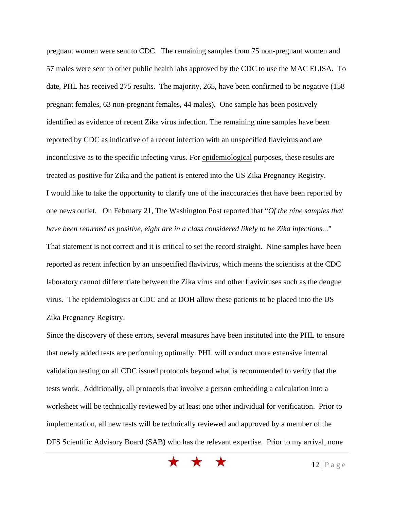pregnant women were sent to CDC. The remaining samples from 75 non-pregnant women and 57 males were sent to other public health labs approved by the CDC to use the MAC ELISA. To date, PHL has received 275 results. The majority, 265, have been confirmed to be negative (158 pregnant females, 63 non-pregnant females, 44 males). One sample has been positively identified as evidence of recent Zika virus infection. The remaining nine samples have been reported by CDC as indicative of a recent infection with an unspecified flavivirus and are inconclusive as to the specific infecting virus. For epidemiological purposes, these results are treated as positive for Zika and the patient is entered into the US Zika Pregnancy Registry. I would like to take the opportunity to clarify one of the inaccuracies that have been reported by one news outlet. On February 21, The Washington Post reported that "*Of the nine samples that have been returned as positive, eight are in a class considered likely to be Zika infections..*."

That statement is not correct and it is critical to set the record straight. Nine samples have been reported as recent infection by an unspecified flavivirus, which means the scientists at the CDC laboratory cannot differentiate between the Zika virus and other flaviviruses such as the dengue virus. The epidemiologists at CDC and at DOH allow these patients to be placed into the US Zika Pregnancy Registry.

Since the discovery of these errors, several measures have been instituted into the PHL to ensure that newly added tests are performing optimally. PHL will conduct more extensive internal validation testing on all CDC issued protocols beyond what is recommended to verify that the tests work. Additionally, all protocols that involve a person embedding a calculation into a worksheet will be technically reviewed by at least one other individual for verification. Prior to implementation, all new tests will be technically reviewed and approved by a member of the DFS Scientific Advisory Board (SAB) who has the relevant expertise. Prior to my arrival, none

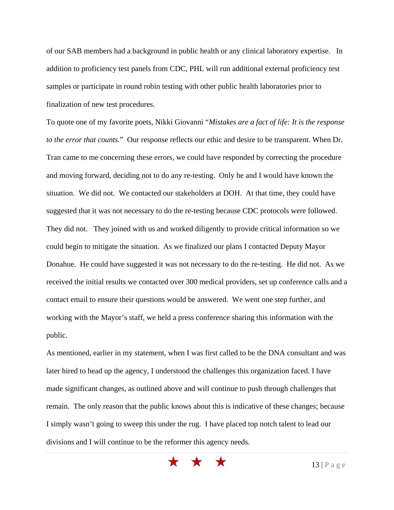of our SAB members had a background in public health or any clinical laboratory expertise. In addition to proficiency test panels from CDC, PHL will run additional external proficiency test samples or participate in round robin testing with other public health laboratories prior to finalization of new test procedures.

To quote one of my favorite poets, Nikki Giovanni "*Mistakes are a fact of life: It is the response to the error that counts.*" Our response reflects our ethic and desire to be transparent. When Dr. Tran came to me concerning these errors, we could have responded by correcting the procedure and moving forward, deciding not to do any re-testing. Only he and I would have known the situation. We did not. We contacted our stakeholders at DOH. At that time, they could have suggested that it was not necessary to do the re-testing because CDC protocols were followed. They did not. They joined with us and worked diligently to provide critical information so we could begin to mitigate the situation. As we finalized our plans I contacted Deputy Mayor Donahue. He could have suggested it was not necessary to do the re-testing. He did not. As we received the initial results we contacted over 300 medical providers, set up conference calls and a contact email to ensure their questions would be answered. We went one step further, and working with the Mayor's staff, we held a press conference sharing this information with the public.

As mentioned, earlier in my statement, when I was first called to be the DNA consultant and was later hired to head up the agency, I understood the challenges this organization faced. I have made significant changes, as outlined above and will continue to push through challenges that remain. The only reason that the public knows about this is indicative of these changes; because I simply wasn't going to sweep this under the rug. I have placed top notch talent to lead our divisions and I will continue to be the reformer this agency needs.